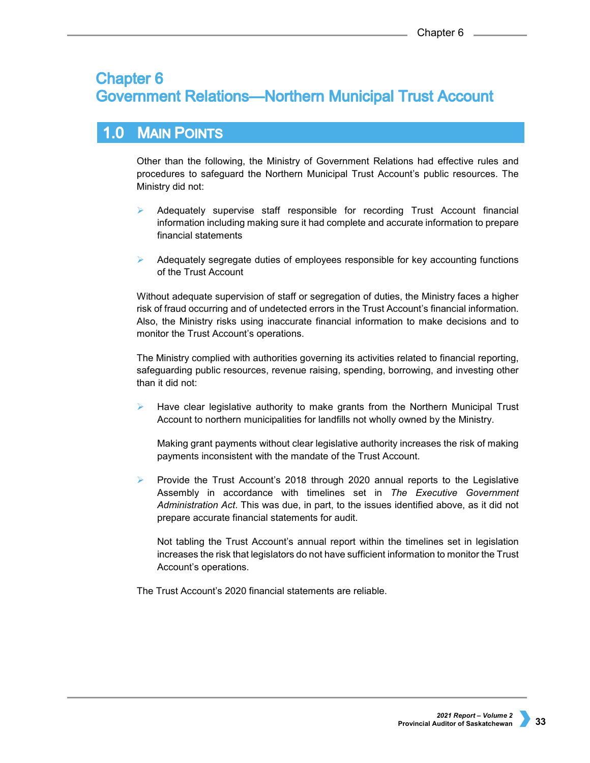# **Chapter 6 Government Relations-Northern Municipal Trust Account**

# 1.0 MAIN POINTS

Other than the following, the Ministry of Government Relations had effective rules and procedures to safeguard the Northern Municipal Trust Account's public resources. The Ministry did not:

- $\triangleright$  Adequately supervise staff responsible for recording Trust Account financial information including making sure it had complete and accurate information to prepare financial statements
- Adequately segregate duties of employees responsible for key accounting functions of the Trust Account

Without adequate supervision of staff or segregation of duties, the Ministry faces a higher risk of fraud occurring and of undetected errors in the Trust Account's financial information. Also, the Ministry risks using inaccurate financial information to make decisions and to monitor the Trust Account's operations.

The Ministry complied with authorities governing its activities related to financial reporting, safeguarding public resources, revenue raising, spending, borrowing, and investing other than it did not:

 Have clear legislative authority to make grants from the Northern Municipal Trust Account to northern municipalities for landfills not wholly owned by the Ministry.

Making grant payments without clear legislative authority increases the risk of making payments inconsistent with the mandate of the Trust Account.

**Provide the Trust Account's 2018 through 2020 annual reports to the Legislative** Assembly in accordance with timelines set in *The Executive Government Administration Act*. This was due, in part, to the issues identified above, as it did not prepare accurate financial statements for audit.

Not tabling the Trust Account's annual report within the timelines set in legislation increases the risk that legislators do not have sufficient information to monitor the Trust Account's operations.

The Trust Account's 2020 financial statements are reliable.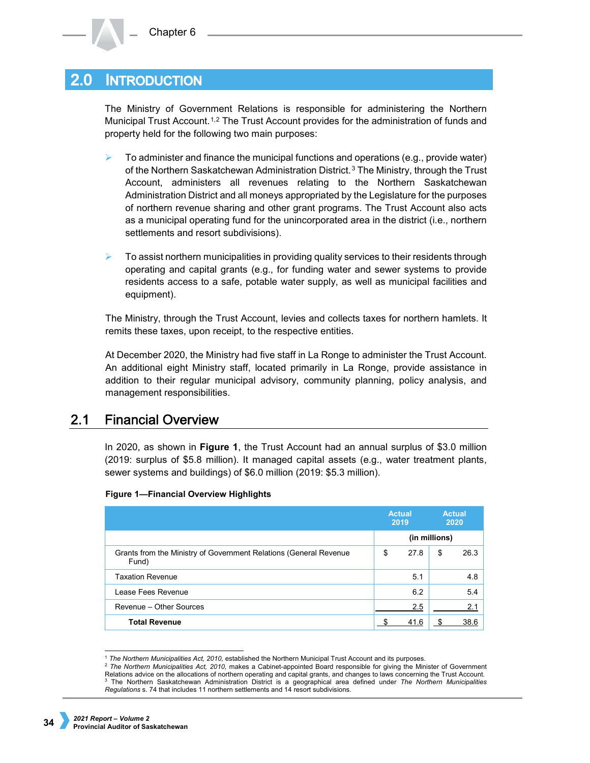#### **INTRODUCTION**  $2.0<sub>l</sub>$

The Ministry of Government Relations is responsible for administering the Northern Municipal Trust Account.<sup>[1](#page-1-0),[2](#page-1-1)</sup> The Trust Account provides for the administration of funds and property held for the following two main purposes:

- To administer and finance the municipal functions and operations (e.g., provide water) of the Northern Saskatchewan Administration District.<sup>[3](#page-1-2)</sup> The Ministry, through the Trust Account, administers all revenues relating to the Northern Saskatchewan Administration District and all moneys appropriated by the Legislature for the purposes of northern revenue sharing and other grant programs. The Trust Account also acts as a municipal operating fund for the unincorporated area in the district (i.e., northern settlements and resort subdivisions).
- $\triangleright$  To assist northern municipalities in providing quality services to their residents through operating and capital grants (e.g., for funding water and sewer systems to provide residents access to a safe, potable water supply, as well as municipal facilities and equipment).

The Ministry, through the Trust Account, levies and collects taxes for northern hamlets. It remits these taxes, upon receipt, to the respective entities.

At December 2020, the Ministry had five staff in La Ronge to administer the Trust Account. An additional eight Ministry staff, located primarily in La Ronge, provide assistance in addition to their regular municipal advisory, community planning, policy analysis, and management responsibilities.

#### $2.1$ **Financial Overview**

In 2020, as shown in **Figure 1**, the Trust Account had an annual surplus of \$3.0 million (2019: surplus of \$5.8 million). It managed capital assets (e.g., water treatment plants, sewer systems and buildings) of \$6.0 million (2019: \$5.3 million).

|                                                                            | <b>Actual</b><br>2019 |      | <b>Actual</b><br>2020 |      |
|----------------------------------------------------------------------------|-----------------------|------|-----------------------|------|
|                                                                            | (in millions)         |      |                       |      |
| Grants from the Ministry of Government Relations (General Revenue<br>Fund) | \$                    | 27.8 | \$                    | 26.3 |
| <b>Taxation Revenue</b>                                                    |                       | 5.1  |                       | 4.8  |
| Lease Fees Revenue                                                         |                       | 6.2  |                       | 5.4  |
| Revenue - Other Sources                                                    |                       | 2.5  |                       | 2.1  |
| <b>Total Revenue</b>                                                       |                       | 41.6 |                       | 38.6 |

## **Figure 1—Financial Overview Highlights**

 <sup>1</sup> *The Northern Municipalities Act, 2010,* established the Northern Municipal Trust Account and its purposes.

<span id="page-1-2"></span><span id="page-1-1"></span><span id="page-1-0"></span><sup>2</sup> *The Northern Municipalities Act, 2010,* makes a Cabinet-appointed Board responsible for giving the Minister of Government Relations advice on the allocations of northern operating and capital grants, and changes to laws concerning the Trust Account. <sup>3</sup> The Northern Saskatchewan Administration District is a geographical area defined under *The Northern Municipalities Regulations* s. 74 that includes 11 northern settlements and 14 resort subdivisions.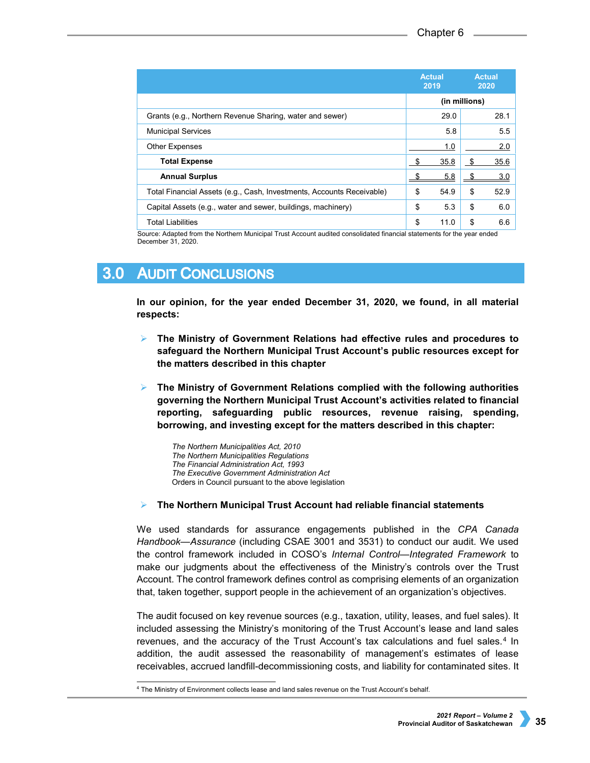|                                                                       | <b>Actual</b><br>2019 | <b>Actual</b><br>2020 |      |  |
|-----------------------------------------------------------------------|-----------------------|-----------------------|------|--|
|                                                                       | (in millions)         |                       |      |  |
| Grants (e.g., Northern Revenue Sharing, water and sewer)              | 29.0                  |                       | 28.1 |  |
| <b>Municipal Services</b>                                             | 5.8                   |                       | 5.5  |  |
| <b>Other Expenses</b>                                                 | 1.0                   |                       | 2.0  |  |
| <b>Total Expense</b>                                                  | 35.8<br>\$            | - \$                  | 35.6 |  |
| <b>Annual Surplus</b>                                                 | 5.8                   |                       | 3.0  |  |
| Total Financial Assets (e.g., Cash, Investments, Accounts Receivable) | 54.9<br>\$            | \$                    | 52.9 |  |
| Capital Assets (e.g., water and sewer, buildings, machinery)          | \$<br>5.3             | \$                    | 6.0  |  |
| <b>Total Liabilities</b>                                              | \$<br>11.0            | \$                    | 6.6  |  |

Source: Adapted from the Northern Municipal Trust Account audited consolidated financial statements for the year ended December 31, 2020.

#### $3.0$ **AUDIT CONCLUSIONS**

**In our opinion, for the year ended December 31, 2020, we found, in all material respects:**

- **The Ministry of Government Relations had effective rules and procedures to safeguard the Northern Municipal Trust Account's public resources except for the matters described in this chapter**
- **The Ministry of Government Relations complied with the following authorities governing the Northern Municipal Trust Account's activities related to financial reporting, safeguarding public resources, revenue raising, spending, borrowing, and investing except for the matters described in this chapter:**

*The Northern Municipalities Act, 2010 The Northern Municipalities Regulations The Financial Administration Act, 1993 The Executive Government Administration Act* Orders in Council pursuant to the above legislation

## **The Northern Municipal Trust Account had reliable financial statements**

We used standards for assurance engagements published in the *CPA Canada Handbook—Assurance* (including CSAE 3001 and 3531) to conduct our audit. We used the control framework included in COSO's *Internal Control—Integrated Framework* to make our judgments about the effectiveness of the Ministry's controls over the Trust Account. The control framework defines control as comprising elements of an organization that, taken together, support people in the achievement of an organization's objectives.

The audit focused on key revenue sources (e.g., taxation, utility, leases, and fuel sales). It included assessing the Ministry's monitoring of the Trust Account's lease and land sales revenues, and the accuracy of the Trust Account's tax calculations and fuel sales.<sup>[4](#page-2-0)</sup> In addition, the audit assessed the reasonability of management's estimates of lease receivables, accrued landfill-decommissioning costs, and liability for contaminated sites. It

<span id="page-2-0"></span> <sup>4</sup> The Ministry of Environment collects lease and land sales revenue on the Trust Account's behalf.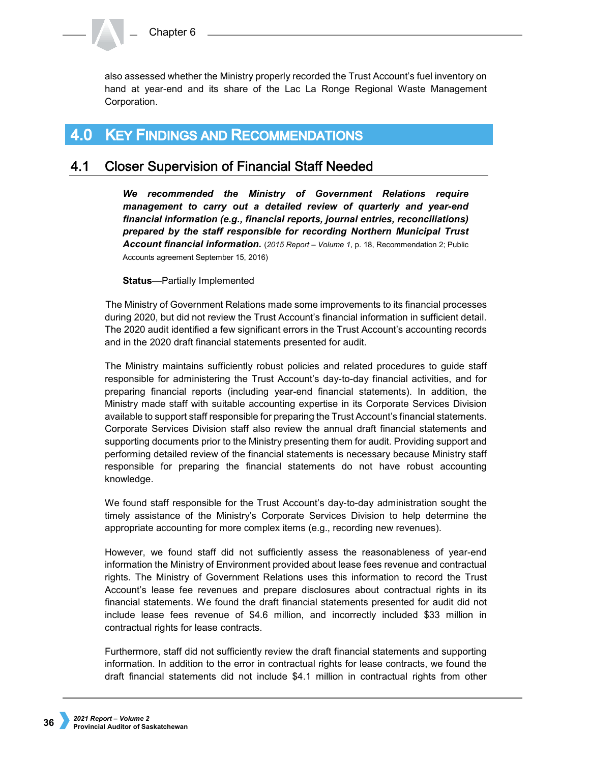also assessed whether the Ministry properly recorded the Trust Account's fuel inventory on hand at year-end and its share of the Lac La Ronge Regional Waste Management Corporation.

#### **KEY FINDINGS AND RECOMMENDATIONS**  $4.0$

#### 4.1 **Closer Supervision of Financial Staff Needed**

*We recommended the Ministry of Government Relations require management to carry out a detailed review of quarterly and year-end financial information (e.g., financial reports, journal entries, reconciliations) prepared by the staff responsible for recording Northern Municipal Trust Account financial information.* (*2015 Report – Volume 1*, p. 18, Recommendation 2; Public Accounts agreement September 15, 2016)

**Status**—Partially Implemented

The Ministry of Government Relations made some improvements to its financial processes during 2020, but did not review the Trust Account's financial information in sufficient detail. The 2020 audit identified a few significant errors in the Trust Account's accounting records and in the 2020 draft financial statements presented for audit.

The Ministry maintains sufficiently robust policies and related procedures to guide staff responsible for administering the Trust Account's day-to-day financial activities, and for preparing financial reports (including year-end financial statements). In addition, the Ministry made staff with suitable accounting expertise in its Corporate Services Division available to support staff responsible for preparing the Trust Account's financial statements. Corporate Services Division staff also review the annual draft financial statements and supporting documents prior to the Ministry presenting them for audit. Providing support and performing detailed review of the financial statements is necessary because Ministry staff responsible for preparing the financial statements do not have robust accounting knowledge.

We found staff responsible for the Trust Account's day-to-day administration sought the timely assistance of the Ministry's Corporate Services Division to help determine the appropriate accounting for more complex items (e.g., recording new revenues).

However, we found staff did not sufficiently assess the reasonableness of year-end information the Ministry of Environment provided about lease fees revenue and contractual rights. The Ministry of Government Relations uses this information to record the Trust Account's lease fee revenues and prepare disclosures about contractual rights in its financial statements. We found the draft financial statements presented for audit did not include lease fees revenue of \$4.6 million, and incorrectly included \$33 million in contractual rights for lease contracts.

Furthermore, staff did not sufficiently review the draft financial statements and supporting information. In addition to the error in contractual rights for lease contracts, we found the draft financial statements did not include \$4.1 million in contractual rights from other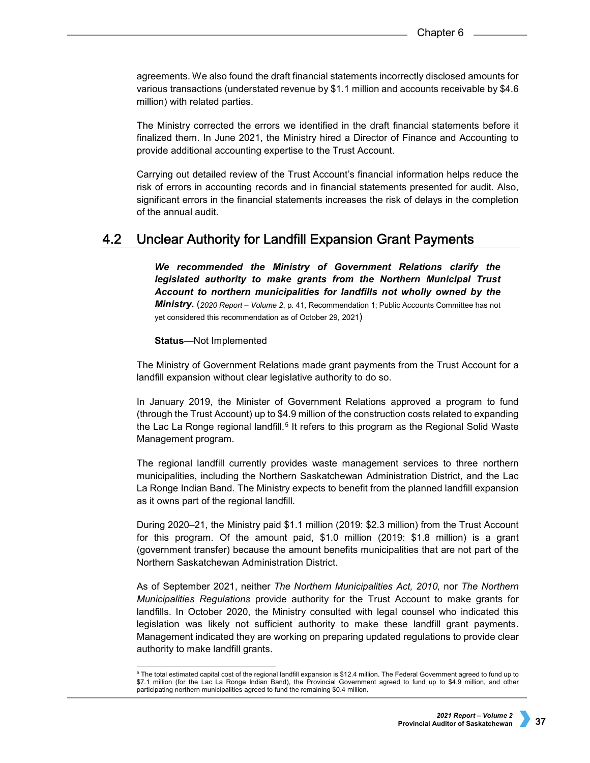agreements. We also found the draft financial statements incorrectly disclosed amounts for various transactions (understated revenue by \$1.1 million and accounts receivable by \$4.6 million) with related parties.

The Ministry corrected the errors we identified in the draft financial statements before it finalized them. In June 2021, the Ministry hired a Director of Finance and Accounting to provide additional accounting expertise to the Trust Account.

Carrying out detailed review of the Trust Account's financial information helps reduce the risk of errors in accounting records and in financial statements presented for audit. Also, significant errors in the financial statements increases the risk of delays in the completion of the annual audit.

#### $4.2$ Unclear Authority for Landfill Expansion Grant Payments

*We recommended the Ministry of Government Relations clarify the legislated authority to make grants from the Northern Municipal Trust Account to northern municipalities for landfills not wholly owned by the Ministry.* (*2020 Report – Volume 2*, p. 41, Recommendation 1; Public Accounts Committee has not yet considered this recommendation as of October 29, 2021)

### **Status**—Not Implemented

The Ministry of Government Relations made grant payments from the Trust Account for a landfill expansion without clear legislative authority to do so.

In January 2019, the Minister of Government Relations approved a program to fund (through the Trust Account) up to \$4.9 million of the construction costs related to expanding the Lac La Ronge regional landfill.<sup>[5](#page-4-0)</sup> It refers to this program as the Regional Solid Waste Management program.

The regional landfill currently provides waste management services to three northern municipalities, including the Northern Saskatchewan Administration District, and the Lac La Ronge Indian Band. The Ministry expects to benefit from the planned landfill expansion as it owns part of the regional landfill.

During 2020–21, the Ministry paid \$1.1 million (2019: \$2.3 million) from the Trust Account for this program. Of the amount paid, \$1.0 million (2019: \$1.8 million) is a grant (government transfer) because the amount benefits municipalities that are not part of the Northern Saskatchewan Administration District.

As of September 2021, neither *The Northern Municipalities Act, 2010,* nor *The Northern Municipalities Regulations* provide authority for the Trust Account to make grants for landfills. In October 2020, the Ministry consulted with legal counsel who indicated this legislation was likely not sufficient authority to make these landfill grant payments. Management indicated they are working on preparing updated regulations to provide clear authority to make landfill grants.

<span id="page-4-0"></span> <sup>5</sup> The total estimated capital cost of the regional landfill expansion is \$12.4 million. The Federal Government agreed to fund up to \$7.1 million (for the Lac La Ronge Indian Band), the Provincial Government agreed to fund up to \$4.9 million, and other participating northern municipalities agreed to fund the remaining \$0.4 million.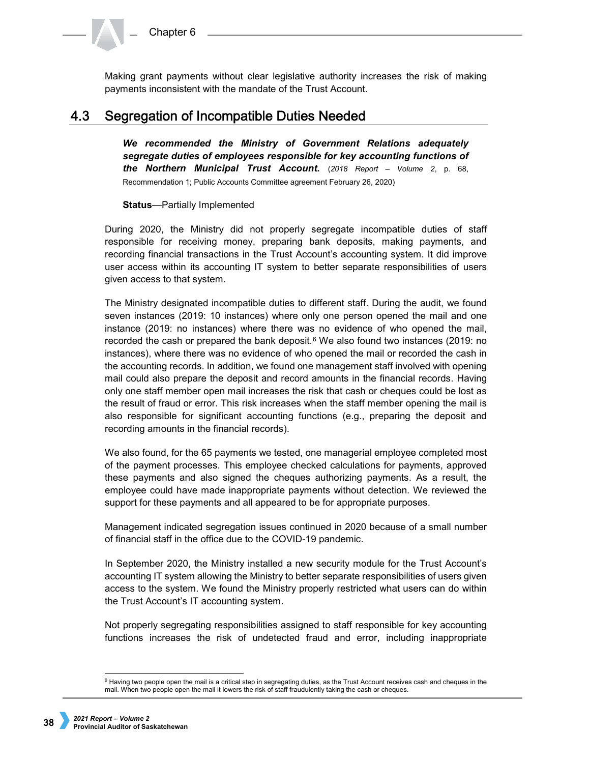Making grant payments without clear legislative authority increases the risk of making payments inconsistent with the mandate of the Trust Account.

#### $4.3$ Segregation of Incompatible Duties Needed

*We recommended the Ministry of Government Relations adequately segregate duties of employees responsible for key accounting functions of the Northern Municipal Trust Account.* (*2018 Report – Volume 2*, p. 68, Recommendation 1; Public Accounts Committee agreement February 26, 2020)

### **Status**—Partially Implemented

During 2020, the Ministry did not properly segregate incompatible duties of staff responsible for receiving money, preparing bank deposits, making payments, and recording financial transactions in the Trust Account's accounting system. It did improve user access within its accounting IT system to better separate responsibilities of users given access to that system.

The Ministry designated incompatible duties to different staff. During the audit, we found seven instances (2019: 10 instances) where only one person opened the mail and one instance (2019: no instances) where there was no evidence of who opened the mail, recorded the cash or prepared the bank deposit.<sup>[6](#page-5-0)</sup> We also found two instances (2019: no instances), where there was no evidence of who opened the mail or recorded the cash in the accounting records. In addition, we found one management staff involved with opening mail could also prepare the deposit and record amounts in the financial records. Having only one staff member open mail increases the risk that cash or cheques could be lost as the result of fraud or error. This risk increases when the staff member opening the mail is also responsible for significant accounting functions (e.g., preparing the deposit and recording amounts in the financial records).

We also found, for the 65 payments we tested, one managerial employee completed most of the payment processes. This employee checked calculations for payments, approved these payments and also signed the cheques authorizing payments. As a result, the employee could have made inappropriate payments without detection. We reviewed the support for these payments and all appeared to be for appropriate purposes.

Management indicated segregation issues continued in 2020 because of a small number of financial staff in the office due to the COVID-19 pandemic.

In September 2020, the Ministry installed a new security module for the Trust Account's accounting IT system allowing the Ministry to better separate responsibilities of users given access to the system. We found the Ministry properly restricted what users can do within the Trust Account's IT accounting system.

Not properly segregating responsibilities assigned to staff responsible for key accounting functions increases the risk of undetected fraud and error, including inappropriate

<span id="page-5-0"></span> $6$  Having two people open the mail is a critical step in segregating duties, as the Trust Account receives cash and cheques in the mail. When two people open the mail it lowers the risk of staff fraudulently taking the cash or cheques.